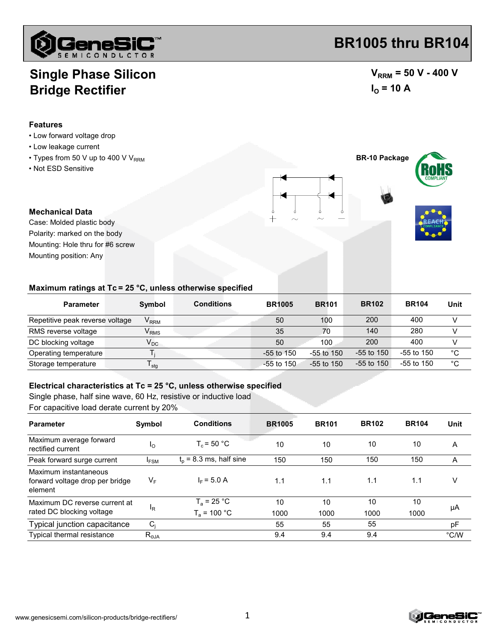

# **Single Phase Silicon Bridge Rectifier**

### **Features**

- Low forward voltage drop
- Low leakage current
- $\cdot$  Types from 50 V up to 400 V V<sub>RRM</sub>
- Not ESD Sensitive

 $V_{RRM}$  = 50 V - 400 V  $I_{\text{O}}$  = 10 A

**BR-10 Package**



Case: Molded plastic body Mounting position: Any Mounting: Hole thru for #6 screw Polarity: marked on the body

#### **Maximum ratings at Tc = 25 °C, unless otherwise specified**

| <b>Parameter</b>                | Symbol           | <b>Conditions</b> | <b>BR1005</b> | <b>BR101</b> | <b>BR102</b> | <b>BR104</b> | Unit        |
|---------------------------------|------------------|-------------------|---------------|--------------|--------------|--------------|-------------|
| Repetitive peak reverse voltage | V <sub>RRM</sub> |                   | 50            | 100          | 200          | 400          |             |
| RMS reverse voltage             | $V_{RMS}$        |                   | 35            | 70           | 140          | 280          |             |
| DC blocking voltage             | $V_{DC}$         |                   | 50            | 100          | 200          | 400          |             |
| Operating temperature           |                  |                   | $-55$ to 150  | $-55$ to 150 | $-55$ to 150 | $-55$ to 150 | $^{\circ}C$ |
| Storage temperature             | <sup>I</sup> stq |                   | $-55$ to 150  | $-55$ to 150 | $-55$ to 150 | $-55$ to 150 | $^{\circ}C$ |

#### **Electrical characteristics at Tc = 25 °C, unless otherwise specified**

Single phase, half sine wave, 60 Hz, resistive or inductive load

For capacitive load derate current by 20%

| <b>Parameter</b>                                                    | Symbol         | <b>Conditions</b>         | <b>BR1005</b> | <b>BR101</b> | <b>BR102</b> | <b>BR104</b> | Unit |
|---------------------------------------------------------------------|----------------|---------------------------|---------------|--------------|--------------|--------------|------|
| Maximum average forward<br>rectified current                        | <sub>10</sub>  | $T_c = 50 °C$             | 10            | 10           | 10           | 10           | A    |
| Peak forward surge current                                          | <b>IFSM</b>    | $t_0$ = 8.3 ms, half sine | 150           | 150          | 150          | 150          | A    |
| Maximum instantaneous<br>forward voltage drop per bridge<br>element | VF             | $I_F = 5.0 A$             | 1.1           | 1.1          | 1.1          | 1.1          |      |
| Maximum DC reverse current at<br>rated DC blocking voltage          |                | $T_a = 25 °C$             | 10            | 10           | 10           | 10           | μA   |
|                                                                     | <sup>I</sup> R | $T_a = 100 °C$            | 1000          | 1000         | 1000         | 1000         |      |
| Typical junction capacitance                                        | $C_i$          |                           | 55            | 55           | 55           |              | pF   |
| <b>Typical thermal resistance</b>                                   | $R_{\theta$ JA |                           | 9.4           | 9.4          | 9.4          |              | °C/W |

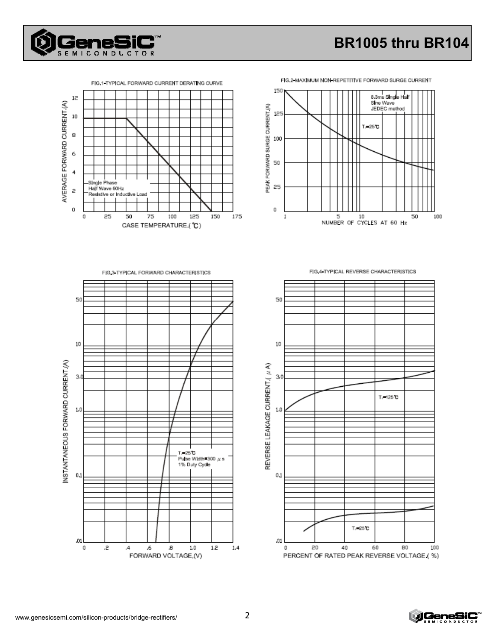



**SEMICONDLCTOR** 



FIG.2 MAXIMUM NON REPETITIVE FORWARD SURGE CURRENT

FIG.3 TYPICAL FORWARD CHARACTERISTICS





FIG.4 TYPICAL REVERSE CHARACTERISTICS